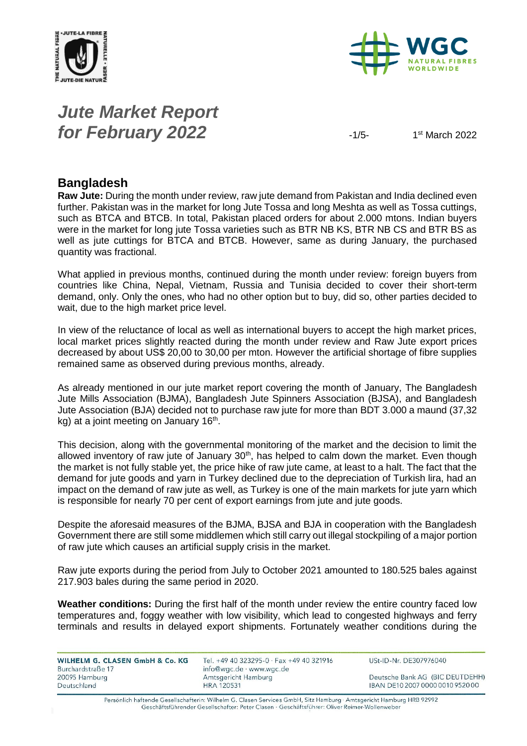



### *Jute Market Report for February 2022*  $-1/5-$

 $1<sup>st</sup>$  March 2022

#### **Bangladesh**

**Raw Jute:** During the month under review, raw jute demand from Pakistan and India declined even further. Pakistan was in the market for long Jute Tossa and long Meshta as well as Tossa cuttings, such as BTCA and BTCB. In total, Pakistan placed orders for about 2.000 mtons. Indian buyers were in the market for long jute Tossa varieties such as BTR NB KS, BTR NB CS and BTR BS as well as jute cuttings for BTCA and BTCB. However, same as during January, the purchased quantity was fractional.

What applied in previous months, continued during the month under review: foreign buyers from countries like China, Nepal, Vietnam, Russia and Tunisia decided to cover their short-term demand, only. Only the ones, who had no other option but to buy, did so, other parties decided to wait, due to the high market price level.

In view of the reluctance of local as well as international buyers to accept the high market prices, local market prices slightly reacted during the month under review and Raw Jute export prices decreased by about US\$ 20,00 to 30,00 per mton. However the artificial shortage of fibre supplies remained same as observed during previous months, already.

As already mentioned in our jute market report covering the month of January, The Bangladesh Jute Mills Association (BJMA), Bangladesh Jute Spinners Association (BJSA), and Bangladesh Jute Association (BJA) decided not to purchase raw jute for more than BDT 3.000 a maund (37,32 kg) at a joint meeting on January 16<sup>th</sup>.

This decision, along with the governmental monitoring of the market and the decision to limit the allowed inventory of raw jute of January  $30<sup>th</sup>$ , has helped to calm down the market. Even though the market is not fully stable yet, the price hike of raw jute came, at least to a halt. The fact that the demand for jute goods and yarn in Turkey declined due to the depreciation of Turkish lira, had an impact on the demand of raw jute as well, as Turkey is one of the main markets for jute yarn which is responsible for nearly 70 per cent of export earnings from jute and jute goods.

Despite the aforesaid measures of the BJMA, BJSA and BJA in cooperation with the Bangladesh Government there are still some middlemen which still carry out illegal stockpiling of a major portion of raw jute which causes an artificial supply crisis in the market.

Raw jute exports during the period from July to October 2021 amounted to 180.525 bales against 217.903 bales during the same period in 2020.

**Weather conditions:** During the first half of the month under review the entire country faced low temperatures and, foggy weather with low visibility, which lead to congested highways and ferry terminals and results in delayed export shipments. Fortunately weather conditions during the

| <b>WILHELM G. CLASEN GmbH &amp; Co. KG</b> |  |  |
|--------------------------------------------|--|--|
| Burchardstraße 17                          |  |  |
| 20095 Hamburg                              |  |  |
| Deutschland                                |  |  |

Tel. +49 40 323295-0 · Fax +49 40 321916 info@wgc.de · www.wgc.de Amtsgericht Hamburg **HRA 120531** 

USt-ID-Nr. DE307976040

Deutsche Bank AG (BIC DEUTDEHH) IBAN DE10 2007 0000 0010 9520 00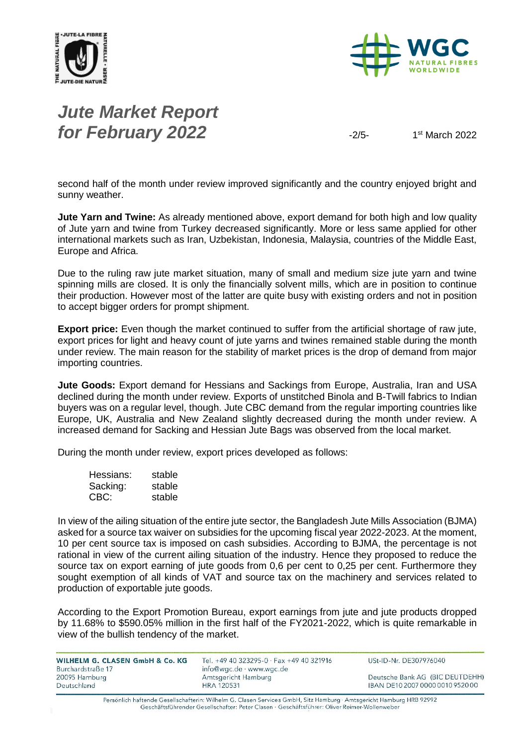



# *Jute Market Report for February 2022*  $\frac{1}{2}$

 $1<sup>st</sup>$  March 2022

second half of the month under review improved significantly and the country enjoyed bright and sunny weather.

**Jute Yarn and Twine:** As already mentioned above, export demand for both high and low quality of Jute yarn and twine from Turkey decreased significantly. More or less same applied for other international markets such as Iran, Uzbekistan, Indonesia, Malaysia, countries of the Middle East, Europe and Africa.

Due to the ruling raw jute market situation, many of small and medium size jute yarn and twine spinning mills are closed. It is only the financially solvent mills, which are in position to continue their production. However most of the latter are quite busy with existing orders and not in position to accept bigger orders for prompt shipment.

**Export price:** Even though the market continued to suffer from the artificial shortage of raw jute, export prices for light and heavy count of jute yarns and twines remained stable during the month under review. The main reason for the stability of market prices is the drop of demand from major importing countries.

**Jute Goods:** Export demand for Hessians and Sackings from Europe, Australia, Iran and USA declined during the month under review. Exports of unstitched Binola and B-Twill fabrics to Indian buyers was on a regular level, though. Jute CBC demand from the regular importing countries like Europe, UK, Australia and New Zealand slightly decreased during the month under review. A increased demand for Sacking and Hessian Jute Bags was observed from the local market.

During the month under review, export prices developed as follows:

| Hessians: | stable |
|-----------|--------|
| Sacking:  | stable |
| CBC:      | stable |

In view of the ailing situation of the entire jute sector, the Bangladesh Jute Mills Association (BJMA) asked for a source tax waiver on subsidies for the upcoming fiscal year 2022-2023. At the moment, 10 per cent source tax is imposed on cash subsidies. According to BJMA, the percentage is not rational in view of the current ailing situation of the industry. Hence they proposed to reduce the source tax on export earning of jute goods from 0,6 per cent to 0,25 per cent. Furthermore they sought exemption of all kinds of VAT and source tax on the machinery and services related to production of exportable jute goods.

According to the Export Promotion Bureau, export earnings from jute and jute products dropped by 11.68% to \$590.05% million in the first half of the FY2021-2022, which is quite remarkable in view of the bullish tendency of the market.

| WILHELM G. CLASEN GmbH & Co. KG<br>Burchardstraße 17 | Tel. +49 40 323295-0 $\cdot$ Fax +49 40 321916<br>$info@wqc.de \cdot www.wqc.de$ | USt-ID-Nr. DE307976040           |
|------------------------------------------------------|----------------------------------------------------------------------------------|----------------------------------|
| 20095 Hamburg                                        | Amtsgericht Hamburg                                                              | Deutsche Bank AG (BIC DEUTDEHH)  |
| Deutschland                                          | <b>HRA 120531</b>                                                                | IBAN DE10 2007 0000 0010 9520 00 |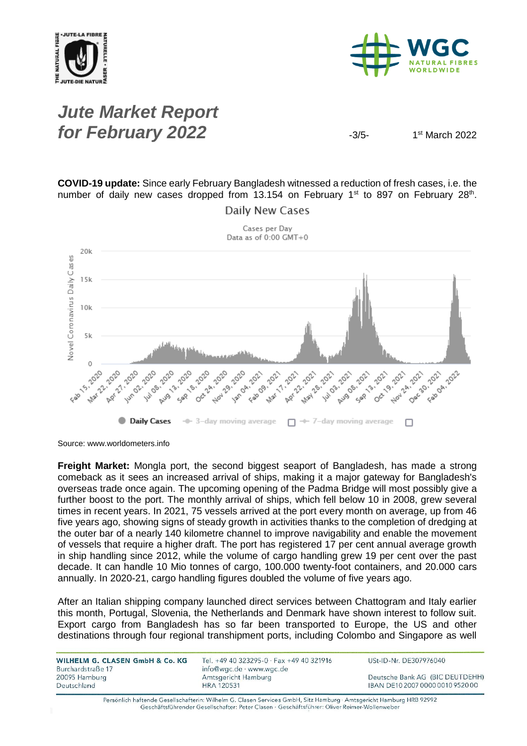



### *Jute Market Report for February 2022*  $\frac{3}{5}$

 $1<sup>st</sup>$  March 2022

**COVID-19 update:** Since early February Bangladesh witnessed a reduction of fresh cases, i.e. the number of daily new cases dropped from 13.154 on February 1<sup>st</sup> to 897 on February 28<sup>th</sup>.



**Daily New Cases** 

Source: www.worldometers.info

**Freight Market:** Mongla port, the second biggest seaport of Bangladesh, has made a strong comeback as it sees an increased arrival of ships, making it a major gateway for Bangladesh's overseas trade once again. The upcoming opening of the Padma Bridge will most possibly give a further boost to the port. The monthly arrival of ships, which fell below 10 in 2008, grew several times in recent years. In 2021, 75 vessels arrived at the port every month on average, up from 46 five years ago, showing signs of steady growth in activities thanks to the completion of dredging at the outer bar of a nearly 140 kilometre channel to improve navigability and enable the movement of vessels that require a higher draft. The port has registered 17 per cent annual average growth in ship handling since 2012, while the volume of cargo handling grew 19 per cent over the past decade. It can handle 10 Mio tonnes of cargo, 100.000 twenty-foot containers, and 20.000 cars annually. In 2020-21, cargo handling figures doubled the volume of five years ago.

After an Italian shipping company launched direct services between Chattogram and Italy earlier this month, Portugal, Slovenia, the Netherlands and Denmark have shown interest to follow suit. Export cargo from Bangladesh has so far been transported to Europe, the US and other destinations through four regional transhipment ports, including Colombo and Singapore as well

| WILHELM G. CLASEN GmbH & Co. KG<br>Burchardstraße 17 | Tel. +49 40 323295-0 · Fax +49 40 321916<br>info@wgc.de · www.wgc.de | USt-ID-Nr. DE307976040           |
|------------------------------------------------------|----------------------------------------------------------------------|----------------------------------|
| 20095 Hamburg                                        | Amtsgericht Hamburg                                                  | Deutsche Bank AG (BIC DEUTDEHH)  |
| Deutschland                                          | <b>HRA 120531</b>                                                    | IBAN DE10 2007 0000 0010 9520 00 |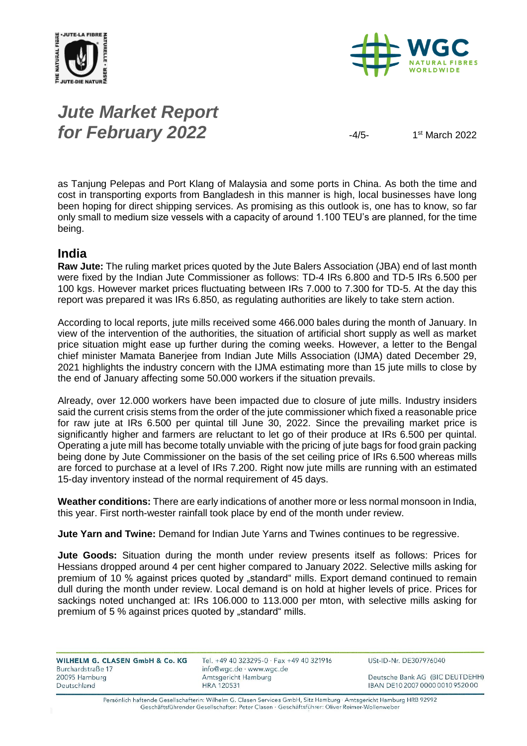



# *Jute Market Report for February 2022* 4/5-

 $1<sup>st</sup>$  March 2022

as Tanjung Pelepas and Port Klang of Malaysia and some ports in China. As both the time and cost in transporting exports from Bangladesh in this manner is high, local businesses have long been hoping for direct shipping services. As promising as this outlook is, one has to know, so far only small to medium size vessels with a capacity of around 1.100 TEU's are planned, for the time being.

#### **India**

**Raw Jute:** The ruling market prices quoted by the Jute Balers Association (JBA) end of last month were fixed by the Indian Jute Commissioner as follows: TD-4 IRs 6.800 and TD-5 IRs 6.500 per 100 kgs. However market prices fluctuating between IRs 7.000 to 7.300 for TD-5. At the day this report was prepared it was IRs 6.850, as regulating authorities are likely to take stern action.

According to local reports, jute mills received some 466.000 bales during the month of January. In view of the intervention of the authorities, the situation of artificial short supply as well as market price situation might ease up further during the coming weeks. However, a letter to the Bengal chief minister Mamata Banerjee from Indian Jute Mills Association (IJMA) dated December 29, 2021 highlights the industry concern with the IJMA estimating more than 15 jute mills to close by the end of January affecting some 50.000 workers if the situation prevails.

Already, over 12.000 workers have been impacted due to closure of jute mills. Industry insiders said the current crisis stems from the order of the jute commissioner which fixed a reasonable price for raw jute at IRs 6.500 per quintal till June 30, 2022. Since the prevailing market price is significantly higher and farmers are reluctant to let go of their produce at IRs 6.500 per quintal. Operating a jute mill has become totally unviable with the pricing of jute bags for food grain packing being done by Jute Commissioner on the basis of the set ceiling price of IRs 6.500 whereas mills are forced to purchase at a level of IRs 7.200. Right now jute mills are running with an estimated 15-day inventory instead of the normal requirement of 45 days.

**Weather conditions:** There are early indications of another more or less normal monsoon in India, this year. First north-wester rainfall took place by end of the month under review.

**Jute Yarn and Twine:** Demand for Indian Jute Yarns and Twines continues to be regressive.

**Jute Goods:** Situation during the month under review presents itself as follows: Prices for Hessians dropped around 4 per cent higher compared to January 2022. Selective mills asking for premium of 10 % against prices quoted by "standard" mills. Export demand continued to remain dull during the month under review. Local demand is on hold at higher levels of price. Prices for sackings noted unchanged at: IRs 106.000 to 113.000 per mton, with selective mills asking for premium of 5 % against prices quoted by "standard" mills.

| WILHELM G. CLASEN GmbH & Co. KG    | Tel. +49 40 323295-0 · Fax +49 40 321916        | USt-ID-Nr. DE307976040           |
|------------------------------------|-------------------------------------------------|----------------------------------|
| Burchardstraße 17<br>20095 Hamburg | info@wgc.de · www.wgc.de<br>Amtsgericht Hamburg | Deutsche Bank AG (BIC DEUTDEHH)  |
| Deutschland                        | HRA 120531                                      | IBAN DE10 2007 0000 0010 9520 00 |